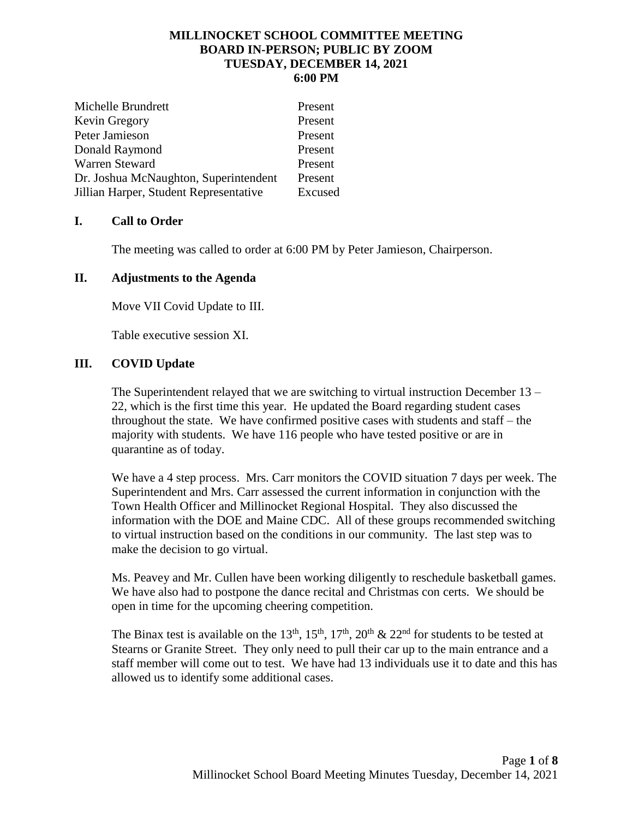### **MILLINOCKET SCHOOL COMMITTEE MEETING BOARD IN-PERSON; PUBLIC BY ZOOM TUESDAY, DECEMBER 14, 2021 6:00 PM**

| Michelle Brundrett                     | Present |
|----------------------------------------|---------|
| Kevin Gregory                          | Present |
| Peter Jamieson                         | Present |
| Donald Raymond                         | Present |
| Warren Steward                         | Present |
| Dr. Joshua McNaughton, Superintendent  | Present |
| Jillian Harper, Student Representative | Excused |

# **I. Call to Order**

The meeting was called to order at 6:00 PM by Peter Jamieson, Chairperson.

# **II. Adjustments to the Agenda**

Move VII Covid Update to III.

Table executive session XI.

# **III. COVID Update**

The Superintendent relayed that we are switching to virtual instruction December 13 – 22, which is the first time this year. He updated the Board regarding student cases throughout the state. We have confirmed positive cases with students and staff – the majority with students. We have 116 people who have tested positive or are in quarantine as of today.

We have a 4 step process. Mrs. Carr monitors the COVID situation 7 days per week. The Superintendent and Mrs. Carr assessed the current information in conjunction with the Town Health Officer and Millinocket Regional Hospital. They also discussed the information with the DOE and Maine CDC. All of these groups recommended switching to virtual instruction based on the conditions in our community. The last step was to make the decision to go virtual.

Ms. Peavey and Mr. Cullen have been working diligently to reschedule basketball games. We have also had to postpone the dance recital and Christmas con certs. We should be open in time for the upcoming cheering competition.

The Binax test is available on the 13<sup>th</sup>, 15<sup>th</sup>, 17<sup>th</sup>, 20<sup>th</sup> & 22<sup>nd</sup> for students to be tested at Stearns or Granite Street. They only need to pull their car up to the main entrance and a staff member will come out to test. We have had 13 individuals use it to date and this has allowed us to identify some additional cases.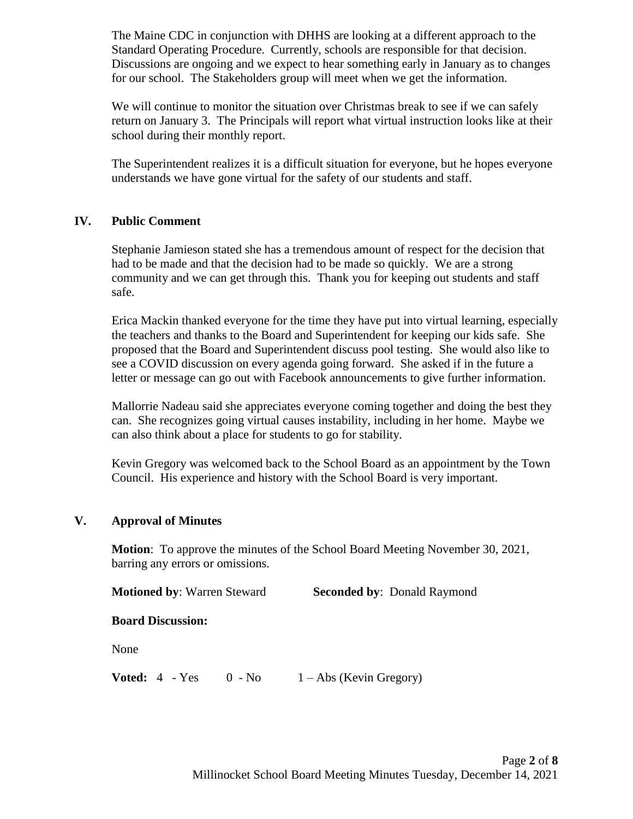The Maine CDC in conjunction with DHHS are looking at a different approach to the Standard Operating Procedure. Currently, schools are responsible for that decision. Discussions are ongoing and we expect to hear something early in January as to changes for our school. The Stakeholders group will meet when we get the information.

We will continue to monitor the situation over Christmas break to see if we can safely return on January 3. The Principals will report what virtual instruction looks like at their school during their monthly report.

The Superintendent realizes it is a difficult situation for everyone, but he hopes everyone understands we have gone virtual for the safety of our students and staff.

# **IV. Public Comment**

Stephanie Jamieson stated she has a tremendous amount of respect for the decision that had to be made and that the decision had to be made so quickly. We are a strong community and we can get through this. Thank you for keeping out students and staff safe.

Erica Mackin thanked everyone for the time they have put into virtual learning, especially the teachers and thanks to the Board and Superintendent for keeping our kids safe. She proposed that the Board and Superintendent discuss pool testing. She would also like to see a COVID discussion on every agenda going forward. She asked if in the future a letter or message can go out with Facebook announcements to give further information.

Mallorrie Nadeau said she appreciates everyone coming together and doing the best they can. She recognizes going virtual causes instability, including in her home. Maybe we can also think about a place for students to go for stability.

Kevin Gregory was welcomed back to the School Board as an appointment by the Town Council. His experience and history with the School Board is very important.

# **V. Approval of Minutes**

**Motion**: To approve the minutes of the School Board Meeting November 30, 2021, barring any errors or omissions.

**Motioned by: Warren Steward <b>Seconded by:** Donald Raymond

### **Board Discussion:**

None

**Voted:**  $4 - Yes = 0 - No = 1 - Abs (Kevin Gregory)$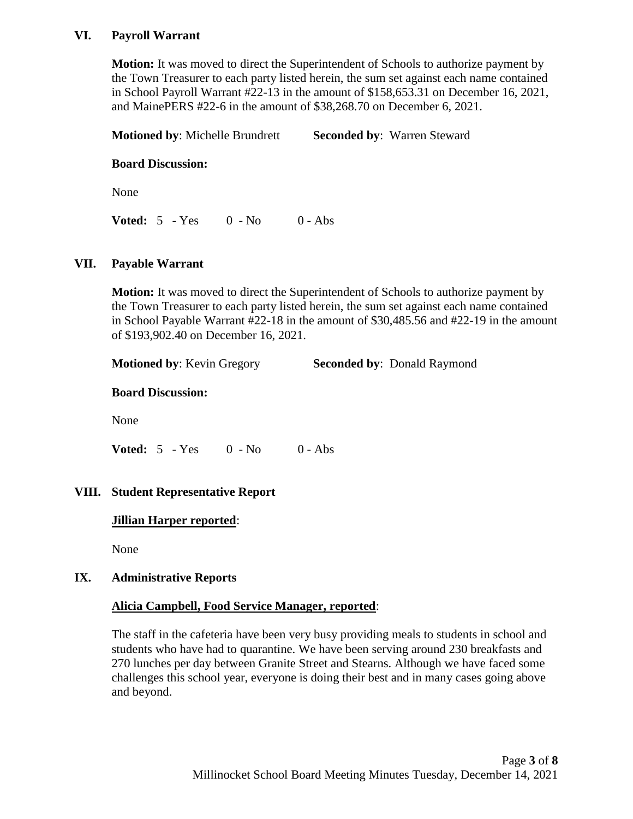## **VI. Payroll Warrant**

**Motion:** It was moved to direct the Superintendent of Schools to authorize payment by the Town Treasurer to each party listed herein, the sum set against each name contained in School Payroll Warrant #22-13 in the amount of \$158,653.31 on December 16, 2021, and MainePERS #22-6 in the amount of \$38,268.70 on December 6, 2021.

**Motioned by**: Michelle Brundrett **Seconded by**: Warren Steward

### **Board Discussion:**

None

**Voted:** 5 - Yes 0 - No 0 - Abs

#### **VII. Payable Warrant**

**Motion:** It was moved to direct the Superintendent of Schools to authorize payment by the Town Treasurer to each party listed herein, the sum set against each name contained in School Payable Warrant #22-18 in the amount of \$30,485.56 and #22-19 in the amount of \$193,902.40 on December 16, 2021.

| <b>Motioned by: Kevin Gregory</b> | <b>Seconded by: Donald Raymond</b> |
|-----------------------------------|------------------------------------|
|-----------------------------------|------------------------------------|

### **Board Discussion:**

None

**Voted:** 5 - Yes 0 - No 0 - Abs

### **VIII. Student Representative Report**

### **Jillian Harper reported**:

None

#### **IX. Administrative Reports**

### **Alicia Campbell, Food Service Manager, reported**:

The staff in the cafeteria have been very busy providing meals to students in school and students who have had to quarantine. We have been serving around 230 breakfasts and 270 lunches per day between Granite Street and Stearns. Although we have faced some challenges this school year, everyone is doing their best and in many cases going above and beyond.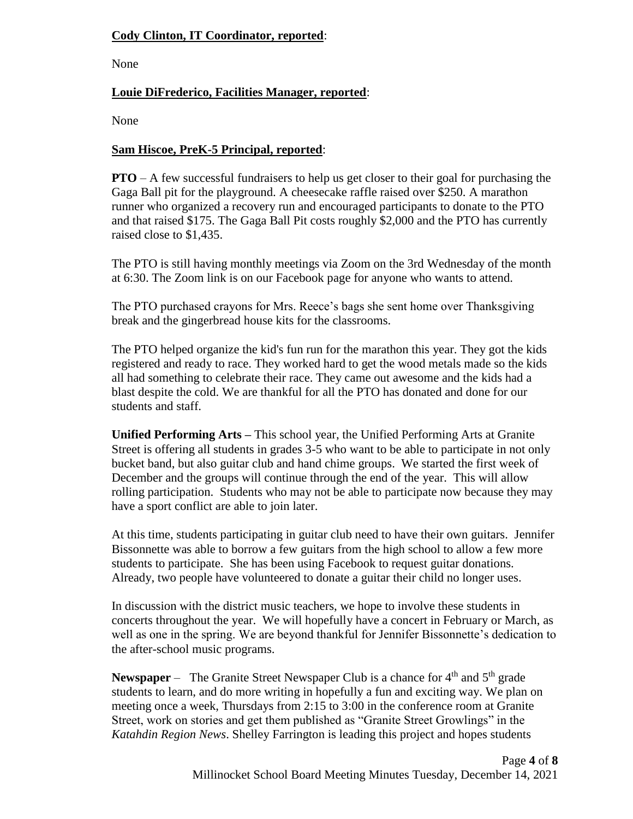# **Cody Clinton, IT Coordinator, reported**:

None

# **Louie DiFrederico, Facilities Manager, reported**:

None

## **Sam Hiscoe, PreK-5 Principal, reported**:

**PTO** – A few successful fundraisers to help us get closer to their goal for purchasing the Gaga Ball pit for the playground. A cheesecake raffle raised over \$250. A marathon runner who organized a recovery run and encouraged participants to donate to the PTO and that raised \$175. The Gaga Ball Pit costs roughly \$2,000 and the PTO has currently raised close to \$1,435.

The PTO is still having monthly meetings via Zoom on the 3rd Wednesday of the month at 6:30. The Zoom link is on our Facebook page for anyone who wants to attend.

The PTO purchased crayons for Mrs. Reece's bags she sent home over Thanksgiving break and the gingerbread house kits for the classrooms.

The PTO helped organize the kid's fun run for the marathon this year. They got the kids registered and ready to race. They worked hard to get the wood metals made so the kids all had something to celebrate their race. They came out awesome and the kids had a blast despite the cold. We are thankful for all the PTO has donated and done for our students and staff.

**Unified Performing Arts –** This school year, the Unified Performing Arts at Granite Street is offering all students in grades 3-5 who want to be able to participate in not only bucket band, but also guitar club and hand chime groups. We started the first week of December and the groups will continue through the end of the year. This will allow rolling participation. Students who may not be able to participate now because they may have a sport conflict are able to join later.

At this time, students participating in guitar club need to have their own guitars. Jennifer Bissonnette was able to borrow a few guitars from the high school to allow a few more students to participate. She has been using Facebook to request guitar donations. Already, two people have volunteered to donate a guitar their child no longer uses.

In discussion with the district music teachers, we hope to involve these students in concerts throughout the year. We will hopefully have a concert in February or March, as well as one in the spring. We are beyond thankful for Jennifer Bissonnette's dedication to the after-school music programs.

**Newspaper** – The Granite Street Newspaper Club is a chance for 4<sup>th</sup> and 5<sup>th</sup> grade students to learn, and do more writing in hopefully a fun and exciting way. We plan on meeting once a week, Thursdays from 2:15 to 3:00 in the conference room at Granite Street, work on stories and get them published as "Granite Street Growlings" in the *Katahdin Region News*. Shelley Farrington is leading this project and hopes students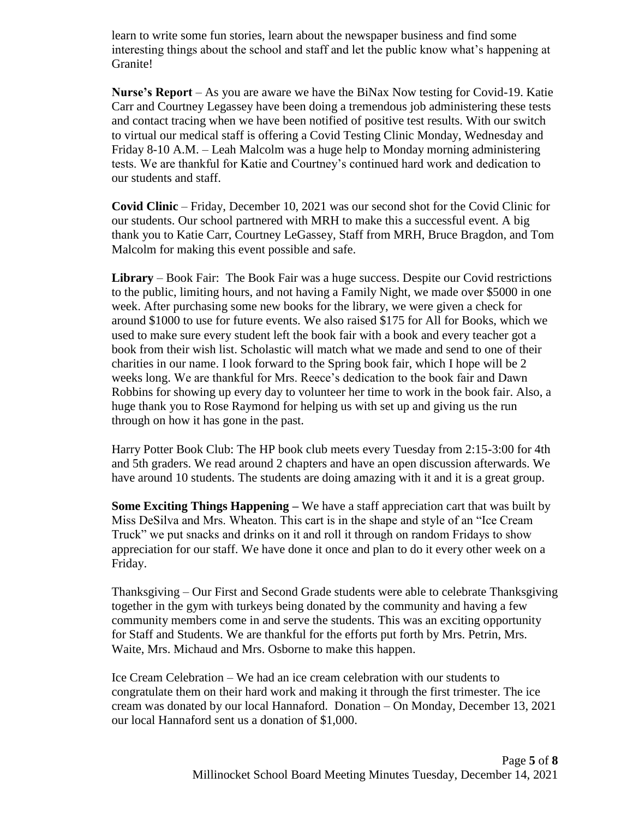learn to write some fun stories, learn about the newspaper business and find some interesting things about the school and staff and let the public know what's happening at Granite!

**Nurse's Report** – As you are aware we have the BiNax Now testing for Covid-19. Katie Carr and Courtney Legassey have been doing a tremendous job administering these tests and contact tracing when we have been notified of positive test results. With our switch to virtual our medical staff is offering a Covid Testing Clinic Monday, Wednesday and Friday 8-10 A.M. – Leah Malcolm was a huge help to Monday morning administering tests. We are thankful for Katie and Courtney's continued hard work and dedication to our students and staff.

**Covid Clinic** – Friday, December 10, 2021 was our second shot for the Covid Clinic for our students. Our school partnered with MRH to make this a successful event. A big thank you to Katie Carr, Courtney LeGassey, Staff from MRH, Bruce Bragdon, and Tom Malcolm for making this event possible and safe.

**Library** – Book Fair: The Book Fair was a huge success. Despite our Covid restrictions to the public, limiting hours, and not having a Family Night, we made over \$5000 in one week. After purchasing some new books for the library, we were given a check for around \$1000 to use for future events. We also raised \$175 for All for Books, which we used to make sure every student left the book fair with a book and every teacher got a book from their wish list. Scholastic will match what we made and send to one of their charities in our name. I look forward to the Spring book fair, which I hope will be 2 weeks long. We are thankful for Mrs. Reece's dedication to the book fair and Dawn Robbins for showing up every day to volunteer her time to work in the book fair. Also, a huge thank you to Rose Raymond for helping us with set up and giving us the run through on how it has gone in the past.

Harry Potter Book Club: The HP book club meets every Tuesday from 2:15-3:00 for 4th and 5th graders. We read around 2 chapters and have an open discussion afterwards. We have around 10 students. The students are doing amazing with it and it is a great group.

**Some Exciting Things Happening –** We have a staff appreciation cart that was built by Miss DeSilva and Mrs. Wheaton. This cart is in the shape and style of an "Ice Cream Truck" we put snacks and drinks on it and roll it through on random Fridays to show appreciation for our staff. We have done it once and plan to do it every other week on a Friday.

Thanksgiving – Our First and Second Grade students were able to celebrate Thanksgiving together in the gym with turkeys being donated by the community and having a few community members come in and serve the students. This was an exciting opportunity for Staff and Students. We are thankful for the efforts put forth by Mrs. Petrin, Mrs. Waite, Mrs. Michaud and Mrs. Osborne to make this happen.

Ice Cream Celebration – We had an ice cream celebration with our students to congratulate them on their hard work and making it through the first trimester. The ice cream was donated by our local Hannaford. Donation – On Monday, December 13, 2021 our local Hannaford sent us a donation of \$1,000.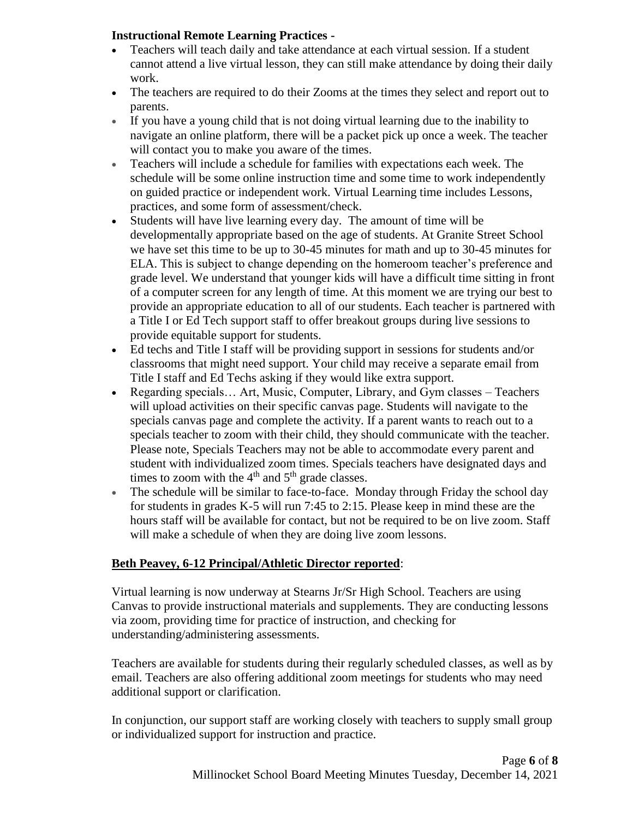# **Instructional Remote Learning Practices -**

- Teachers will teach daily and take attendance at each virtual session. If a student cannot attend a live virtual lesson, they can still make attendance by doing their daily work.
- The teachers are required to do their Zooms at the times they select and report out to parents.
- If you have a young child that is not doing virtual learning due to the inability to navigate an online platform, there will be a packet pick up once a week. The teacher will contact you to make you aware of the times.
- Teachers will include a schedule for families with expectations each week. The schedule will be some online instruction time and some time to work independently on guided practice or independent work. Virtual Learning time includes Lessons, practices, and some form of assessment/check.
- Students will have live learning every day. The amount of time will be developmentally appropriate based on the age of students. At Granite Street School we have set this time to be up to 30-45 minutes for math and up to 30-45 minutes for ELA. This is subject to change depending on the homeroom teacher's preference and grade level. We understand that younger kids will have a difficult time sitting in front of a computer screen for any length of time. At this moment we are trying our best to provide an appropriate education to all of our students. Each teacher is partnered with a Title I or Ed Tech support staff to offer breakout groups during live sessions to provide equitable support for students.
- Ed techs and Title I staff will be providing support in sessions for students and/or classrooms that might need support. Your child may receive a separate email from Title I staff and Ed Techs asking if they would like extra support.
- Regarding specials… Art, Music, Computer, Library, and Gym classes Teachers will upload activities on their specific canvas page. Students will navigate to the specials canvas page and complete the activity. If a parent wants to reach out to a specials teacher to zoom with their child, they should communicate with the teacher. Please note, Specials Teachers may not be able to accommodate every parent and student with individualized zoom times. Specials teachers have designated days and times to zoom with the  $4<sup>th</sup>$  and  $5<sup>th</sup>$  grade classes.
- The schedule will be similar to face-to-face. Monday through Friday the school day for students in grades K-5 will run 7:45 to 2:15. Please keep in mind these are the hours staff will be available for contact, but not be required to be on live zoom. Staff will make a schedule of when they are doing live zoom lessons.

# **Beth Peavey, 6-12 Principal/Athletic Director reported**:

Virtual learning is now underway at Stearns Jr/Sr High School. Teachers are using Canvas to provide instructional materials and supplements. They are conducting lessons via zoom, providing time for practice of instruction, and checking for understanding/administering assessments.

Teachers are available for students during their regularly scheduled classes, as well as by email. Teachers are also offering additional zoom meetings for students who may need additional support or clarification.

In conjunction, our support staff are working closely with teachers to supply small group or individualized support for instruction and practice.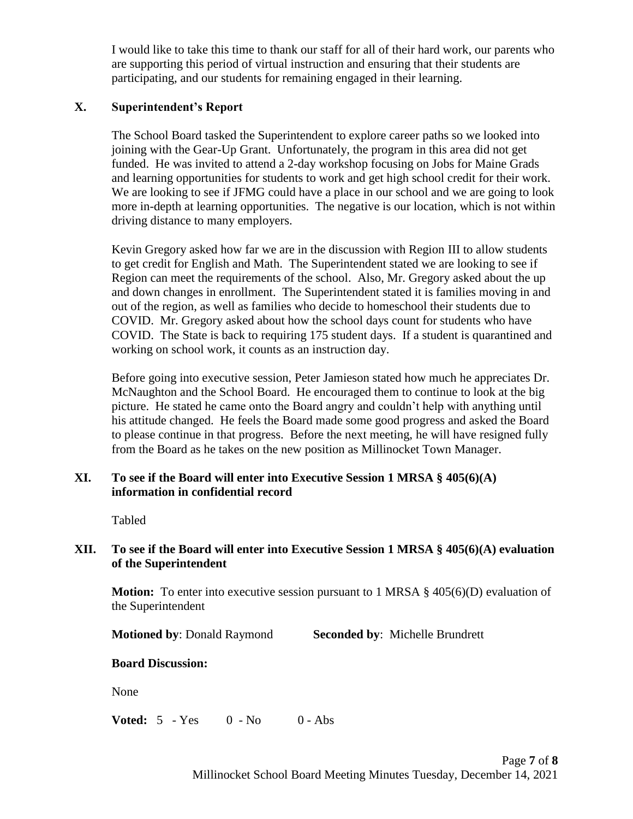I would like to take this time to thank our staff for all of their hard work, our parents who are supporting this period of virtual instruction and ensuring that their students are participating, and our students for remaining engaged in their learning.

# **X. Superintendent's Report**

The School Board tasked the Superintendent to explore career paths so we looked into joining with the Gear-Up Grant. Unfortunately, the program in this area did not get funded. He was invited to attend a 2-day workshop focusing on Jobs for Maine Grads and learning opportunities for students to work and get high school credit for their work. We are looking to see if JFMG could have a place in our school and we are going to look more in-depth at learning opportunities. The negative is our location, which is not within driving distance to many employers.

Kevin Gregory asked how far we are in the discussion with Region III to allow students to get credit for English and Math. The Superintendent stated we are looking to see if Region can meet the requirements of the school. Also, Mr. Gregory asked about the up and down changes in enrollment. The Superintendent stated it is families moving in and out of the region, as well as families who decide to homeschool their students due to COVID. Mr. Gregory asked about how the school days count for students who have COVID. The State is back to requiring 175 student days. If a student is quarantined and working on school work, it counts as an instruction day.

Before going into executive session, Peter Jamieson stated how much he appreciates Dr. McNaughton and the School Board. He encouraged them to continue to look at the big picture. He stated he came onto the Board angry and couldn't help with anything until his attitude changed. He feels the Board made some good progress and asked the Board to please continue in that progress. Before the next meeting, he will have resigned fully from the Board as he takes on the new position as Millinocket Town Manager.

# **XI. To see if the Board will enter into Executive Session 1 MRSA § 405(6)(A) information in confidential record**

Tabled

# **XII. To see if the Board will enter into Executive Session 1 MRSA § 405(6)(A) evaluation of the Superintendent**

**Motion:** To enter into executive session pursuant to 1 MRSA § 405(6)(D) evaluation of the Superintendent

**Motioned by**: Donald Raymond **Seconded by**: Michelle Brundrett

### **Board Discussion:**

None

**Voted:** 5 - Yes 0 - No 0 - Abs